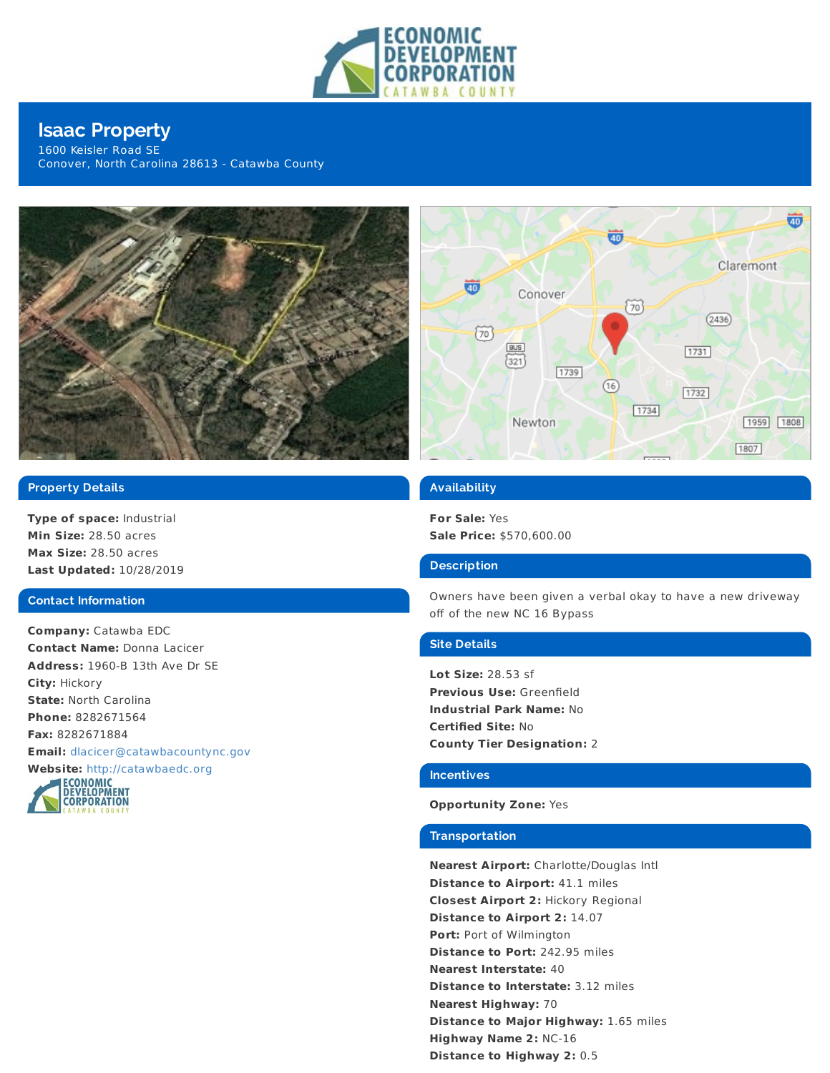

# **Isaac Property**

1600 Keisler Road SE Conover, North Carolina 28613 - Catawba County





## **Property Details**

**Type of space:** Industrial **Min Size:** 28.50 acres **Max Size:** 28.50 acres **Last Updated:** 10/28/2019

#### **Contact Information**

**Company:** Catawba EDC **Contact Name:** Donna Lacicer **Address:** 1960-B 13th Ave Dr SE **City:** Hickory **State:** North Carolina **Phone:** 8282671564 **Fax:** 8282671884 **Email:** [dlacicer@catawbacountync.gov](mailto:dlacicer@catawbacountync.gov)



## **Availability**

**For Sale:** Yes **Sale Price:** \$570,600.00

## **Description**

Owners have been given a verbal okay to have a new driveway off of the new NC 16 Bypass

## **Site Details**

**Lot Size:** 28.53 sf **Previous Use:** Greenfield **Industrial Park Name:** No **Certified Site:** No **County Tier Designation:** 2

#### **Incentives**

### **Opportunity Zone:** Yes

#### **Transportation**

**Nearest Airport:** Charlotte/Douglas Intl **Distance to Airport:** 41.1 miles **Closest Airport 2:** Hickory Regional **Distance to Airport 2:** 14.07 **Port:** Port of Wilmington **Distance to Port:** 242.95 miles **Nearest Interstate:** 40 **Distance to Interstate:** 3.12 miles **Nearest Highway:** 70 **Distance to Major Highway:** 1.65 miles **Highway Name 2:** NC-16 **Distance to Highway 2:** 0.5